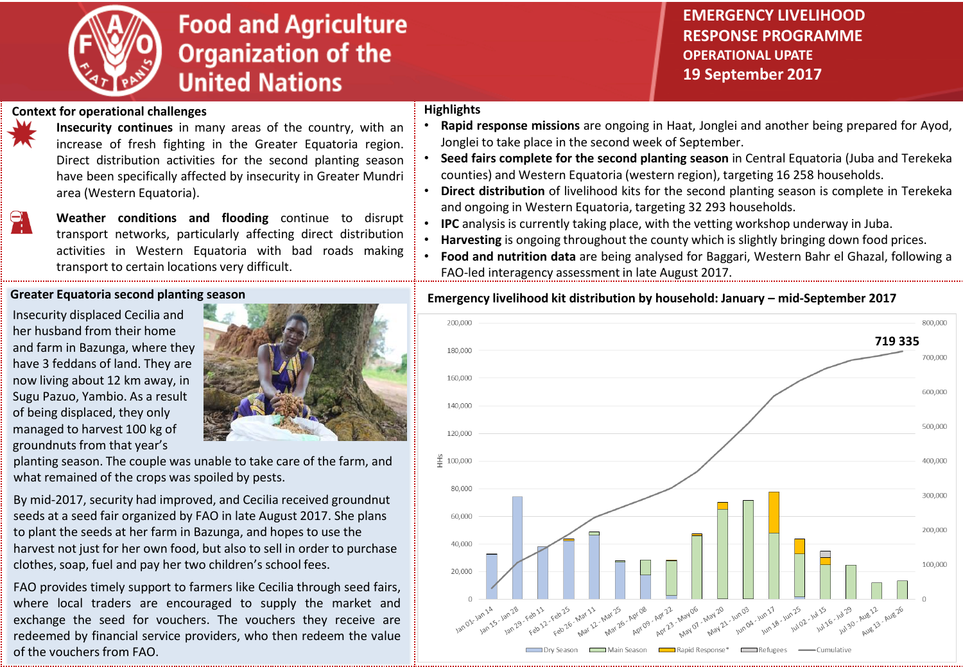

# **Food and Agriculture Organization of the United Nations**

## **EMERGENCY LIVELIHOOD RESPONSE PROGRAMME OPERATIONAL UPATE 19 September 2017**

### **Context for operational challenges**

**Insecurity continues** in many areas of the country, with an increase of fresh fighting in the Greater Equatoria region. Direct distribution activities for the second planting season have been specifically affected by insecurity in Greater Mundri area (Western Equatoria).

**Weather conditions and flooding** continue to disrupt transport networks, particularly affecting direct distribution activities in Western Equatoria with bad roads making transport to certain locations very difficult.

#### **Greater Equatoria second planting season**

Insecurity displaced Cecilia and her husband from their home and farm in Bazunga, where they have 3 feddans of land. They are now living about 12 km away, in Sugu Pazuo, Yambio. As a result of being displaced, they only managed to harvest 100 kg of groundnuts from that year's



planting season. The couple was unable to take care of the farm, and what remained of the crops was spoiled by pests.

By mid-2017, security had improved, and Cecilia received groundnut seeds at a seed fair organized by FAO in late August 2017. She plans to plant the seeds at her farm in Bazunga, and hopes to use the harvest not just for her own food, but also to sell in order to purchase clothes, soap, fuel and pay her two children's school fees.

FAO provides timely support to farmers like Cecilia through seed fairs, where local traders are encouraged to supply the market and exchange the seed for vouchers. The vouchers they receive are redeemed by financial service providers, who then redeem the value of the vouchers from FAO.

#### **Highlights**

- **Rapid response missions** are ongoing in Haat, Jonglei and another being prepared for Ayod, Jonglei to take place in the second week of September.
- **Seed fairs complete for the second planting season** in Central Equatoria (Juba and Terekeka counties) and Western Equatoria (western region), targeting 16 258 households.
- **Direct distribution** of livelihood kits for the second planting season is complete in Terekeka and ongoing in Western Equatoria, targeting 32 293 households.
- **IPC** analysis is currently taking place, with the vetting workshop underway in Juba.
- **Harvesting** is ongoing throughout the county which is slightly bringing down food prices.
- **Food and nutrition data** are being analysed for Baggari, Western Bahr el Ghazal, following a FAO-led interagency assessment in late August 2017.

#### **Emergency livelihood kit distribution by household: January – mid-September 2017**